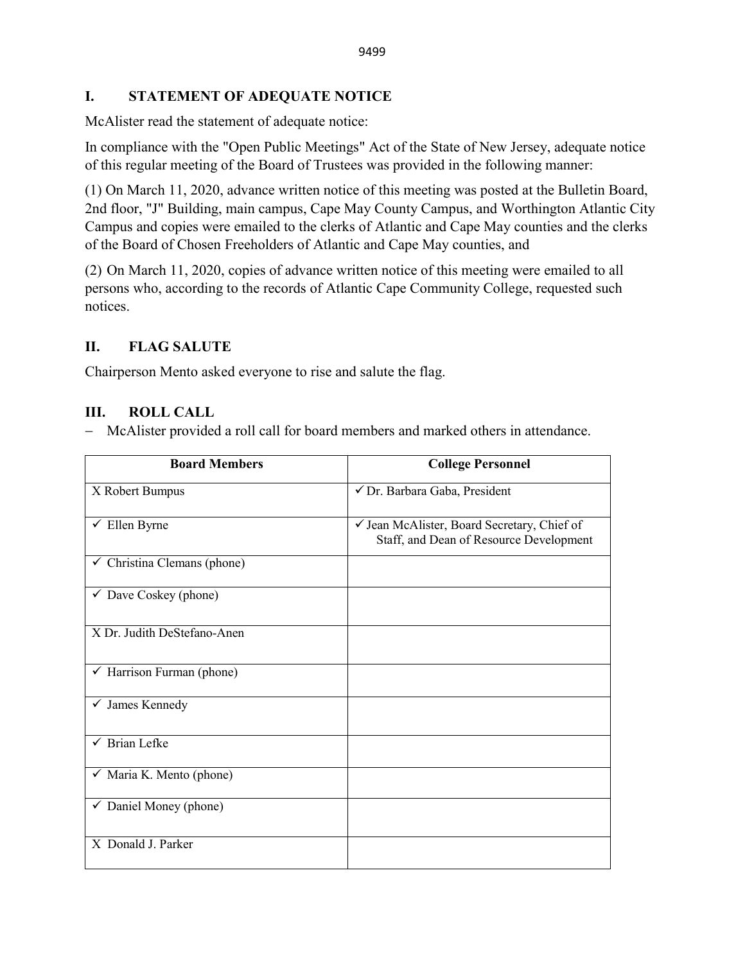### **I. STATEMENT OF ADEQUATE NOTICE**

McAlister read the statement of adequate notice:

In compliance with the "Open Public Meetings" Act of the State of New Jersey, adequate notice of this regular meeting of the Board of Trustees was provided in the following manner:

(1) On March 11, 2020, advance written notice of this meeting was posted at the Bulletin Board, 2nd floor, "J" Building, main campus, Cape May County Campus, and Worthington Atlantic City Campus and copies were emailed to the clerks of Atlantic and Cape May counties and the clerks of the Board of Chosen Freeholders of Atlantic and Cape May counties, and

(2) On March 11, 2020, copies of advance written notice of this meeting were emailed to all persons who, according to the records of Atlantic Cape Community College, requested such notices.

# **II. FLAG SALUTE**

Chairperson Mento asked everyone to rise and salute the flag.

# **III. ROLL CALL**

− McAlister provided a roll call for board members and marked others in attendance.

| <b>Board Members</b>                   | <b>College Personnel</b>                                                               |
|----------------------------------------|----------------------------------------------------------------------------------------|
| X Robert Bumpus                        | √ Dr. Barbara Gaba, President                                                          |
| $\checkmark$ Ellen Byrne               | √ Jean McAlister, Board Secretary, Chief of<br>Staff, and Dean of Resource Development |
| $\checkmark$ Christina Clemans (phone) |                                                                                        |
| $\checkmark$ Dave Coskey (phone)       |                                                                                        |
| X Dr. Judith DeStefano-Anen            |                                                                                        |
| ← Harrison Furman (phone)              |                                                                                        |
| $\checkmark$ James Kennedy             |                                                                                        |
| $\checkmark$ Brian Lefke               |                                                                                        |
| $\checkmark$ Maria K. Mento (phone)    |                                                                                        |
| $\checkmark$ Daniel Money (phone)      |                                                                                        |
| X Donald J. Parker                     |                                                                                        |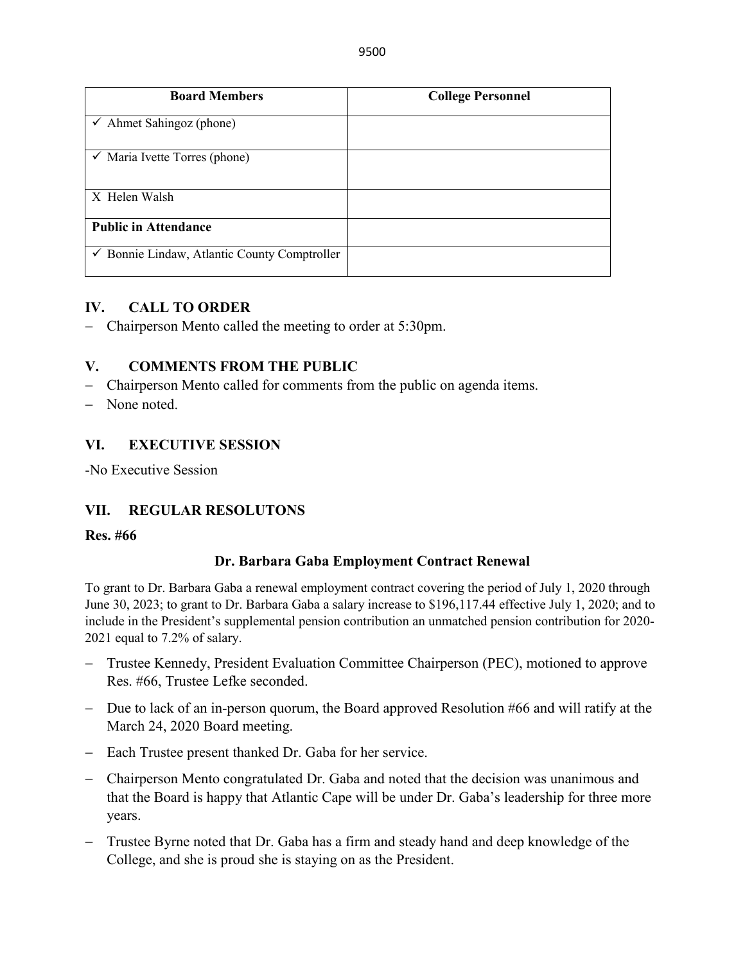| <b>Board Members</b>                         | <b>College Personnel</b> |
|----------------------------------------------|--------------------------|
| $\checkmark$ Ahmet Sahingoz (phone)          |                          |
| $\checkmark$ Maria Ivette Torres (phone)     |                          |
| X Helen Walsh                                |                          |
| <b>Public in Attendance</b>                  |                          |
| ✔ Bonnie Lindaw, Atlantic County Comptroller |                          |

#### **IV. CALL TO ORDER**

− Chairperson Mento called the meeting to order at 5:30pm.

#### **V. COMMENTS FROM THE PUBLIC**

- − Chairperson Mento called for comments from the public on agenda items.
- − None noted.

#### **VI. EXECUTIVE SESSION**

-No Executive Session

#### **VII. REGULAR RESOLUTONS**

#### **Res. #66**

#### **Dr. Barbara Gaba Employment Contract Renewal**

To grant to Dr. Barbara Gaba a renewal employment contract covering the period of July 1, 2020 through June 30, 2023; to grant to Dr. Barbara Gaba a salary increase to \$196,117.44 effective July 1, 2020; and to include in the President's supplemental pension contribution an unmatched pension contribution for 2020- 2021 equal to 7.2% of salary.

- − Trustee Kennedy, President Evaluation Committee Chairperson (PEC), motioned to approve Res. #66, Trustee Lefke seconded.
- − Due to lack of an in-person quorum, the Board approved Resolution #66 and will ratify at the March 24, 2020 Board meeting.
- − Each Trustee present thanked Dr. Gaba for her service.
- − Chairperson Mento congratulated Dr. Gaba and noted that the decision was unanimous and that the Board is happy that Atlantic Cape will be under Dr. Gaba's leadership for three more years.
- − Trustee Byrne noted that Dr. Gaba has a firm and steady hand and deep knowledge of the College, and she is proud she is staying on as the President.